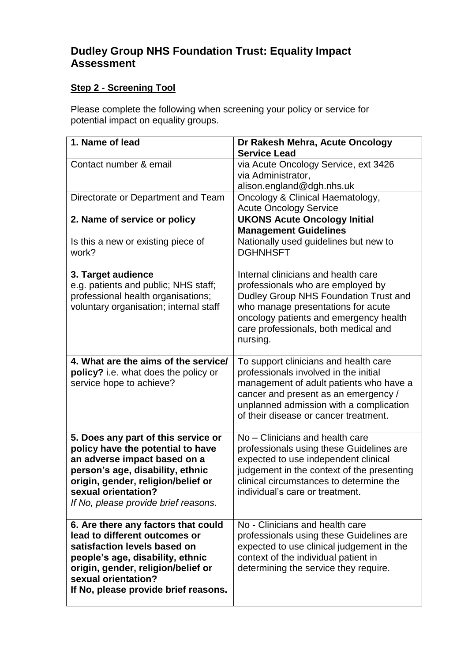## **Dudley Group NHS Foundation Trust: Equality Impact Assessment**

## **Step 2 - Screening Tool**

Please complete the following when screening your policy or service for potential impact on equality groups.

| 1. Name of lead                                                                                                                                                                                                                                   | Dr Rakesh Mehra, Acute Oncology<br><b>Service Lead</b>                                                                                                                                                                                                |
|---------------------------------------------------------------------------------------------------------------------------------------------------------------------------------------------------------------------------------------------------|-------------------------------------------------------------------------------------------------------------------------------------------------------------------------------------------------------------------------------------------------------|
| Contact number & email                                                                                                                                                                                                                            | via Acute Oncology Service, ext 3426<br>via Administrator,<br>alison.england@dgh.nhs.uk                                                                                                                                                               |
| Directorate or Department and Team                                                                                                                                                                                                                | Oncology & Clinical Haematology,<br><b>Acute Oncology Service</b>                                                                                                                                                                                     |
| 2. Name of service or policy                                                                                                                                                                                                                      | <b>UKONS Acute Oncology Initial</b><br><b>Management Guidelines</b>                                                                                                                                                                                   |
| Is this a new or existing piece of<br>work?                                                                                                                                                                                                       | Nationally used guidelines but new to<br><b>DGHNHSFT</b>                                                                                                                                                                                              |
| 3. Target audience<br>e.g. patients and public; NHS staff;<br>professional health organisations;<br>voluntary organisation; internal staff                                                                                                        | Internal clinicians and health care<br>professionals who are employed by<br>Dudley Group NHS Foundation Trust and<br>who manage presentations for acute<br>oncology patients and emergency health<br>care professionals, both medical and<br>nursing. |
| 4. What are the aims of the service/<br>policy? i.e. what does the policy or<br>service hope to achieve?                                                                                                                                          | To support clinicians and health care<br>professionals involved in the initial<br>management of adult patients who have a<br>cancer and present as an emergency /<br>unplanned admission with a complication<br>of their disease or cancer treatment. |
| 5. Does any part of this service or<br>policy have the potential to have<br>an adverse impact based on a<br>person's age, disability, ethnic<br>origin, gender, religion/belief or<br>sexual orientation?<br>If No, please provide brief reasons. | No - Clinicians and health care<br>professionals using these Guidelines are<br>expected to use independent clinical<br>judgement in the context of the presenting<br>clinical circumstances to determine the<br>individual's care or treatment.       |
| 6. Are there any factors that could<br>lead to different outcomes or<br>satisfaction levels based on<br>people's age, disability, ethnic<br>origin, gender, religion/belief or<br>sexual orientation?<br>If No, please provide brief reasons.     | No - Clinicians and health care<br>professionals using these Guidelines are<br>expected to use clinical judgement in the<br>context of the individual patient in<br>determining the service they require.                                             |